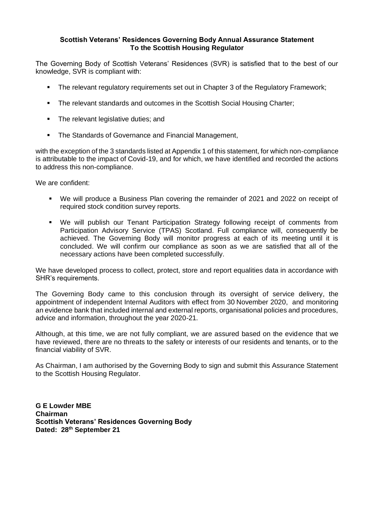## **Scottish Veterans' Residences Governing Body Annual Assurance Statement To the Scottish Housing Regulator**

The Governing Body of Scottish Veterans' Residences (SVR) is satisfied that to the best of our knowledge, SVR is compliant with:

- The relevant regulatory requirements set out in Chapter 3 of the Regulatory Framework;
- The relevant standards and outcomes in the Scottish Social Housing Charter;
- **•** The relevant legislative duties; and
- The Standards of Governance and Financial Management,

with the exception of the 3 standards listed at Appendix 1 of this statement, for which non-compliance is attributable to the impact of Covid-19, and for which, we have identified and recorded the actions to address this non-compliance.

We are confident:

- We will produce a Business Plan covering the remainder of 2021 and 2022 on receipt of required stock condition survey reports.
- We will publish our Tenant Participation Strategy following receipt of comments from Participation Advisory Service (TPAS) Scotland. Full compliance will, consequently be achieved. The Governing Body will monitor progress at each of its meeting until it is concluded. We will confirm our compliance as soon as we are satisfied that all of the necessary actions have been completed successfully.

We have developed process to collect, protect, store and report equalities data in accordance with SHR's requirements.

The Governing Body came to this conclusion through its oversight of service delivery, the appointment of independent Internal Auditors with effect from 30 November 2020, and monitoring an evidence bank that included internal and external reports, organisational policies and procedures, advice and information, throughout the year 2020-21.

Although, at this time, we are not fully compliant, we are assured based on the evidence that we have reviewed, there are no threats to the safety or interests of our residents and tenants, or to the financial viability of SVR.

As Chairman, I am authorised by the Governing Body to sign and submit this Assurance Statement to the Scottish Housing Regulator.

**G E Lowder MBE Chairman Scottish Veterans' Residences Governing Body Dated: 28th September 21**